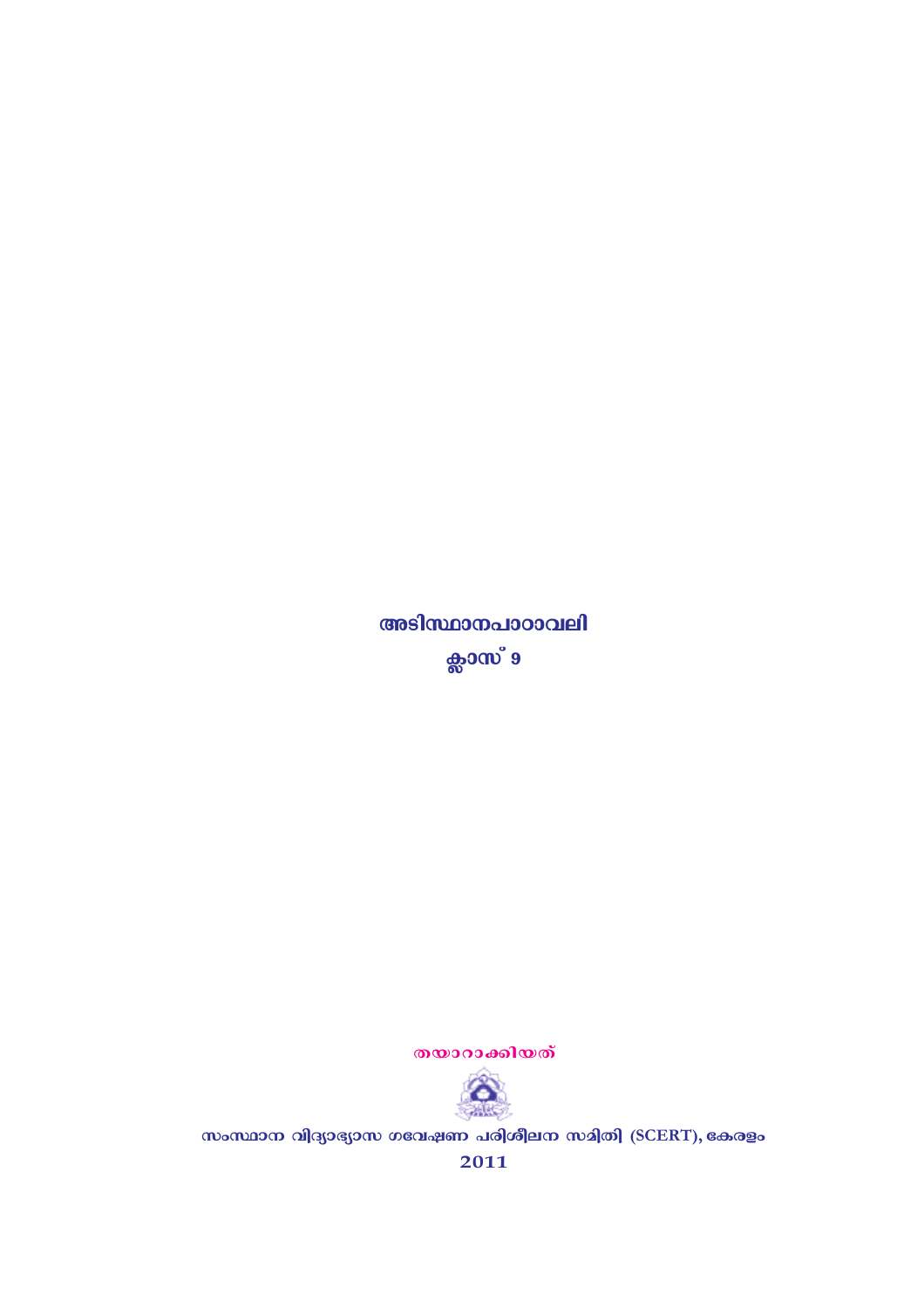തയാറാക്കിയത്



സംസ്ഥാന വിദ്യാഭ്യാസ ഗവേഷണ പരിശീലന സമിതി (SCERT), കേരളം

2011

അടിസ്ഥാനപാഠാവലി ക്ലാസ് 9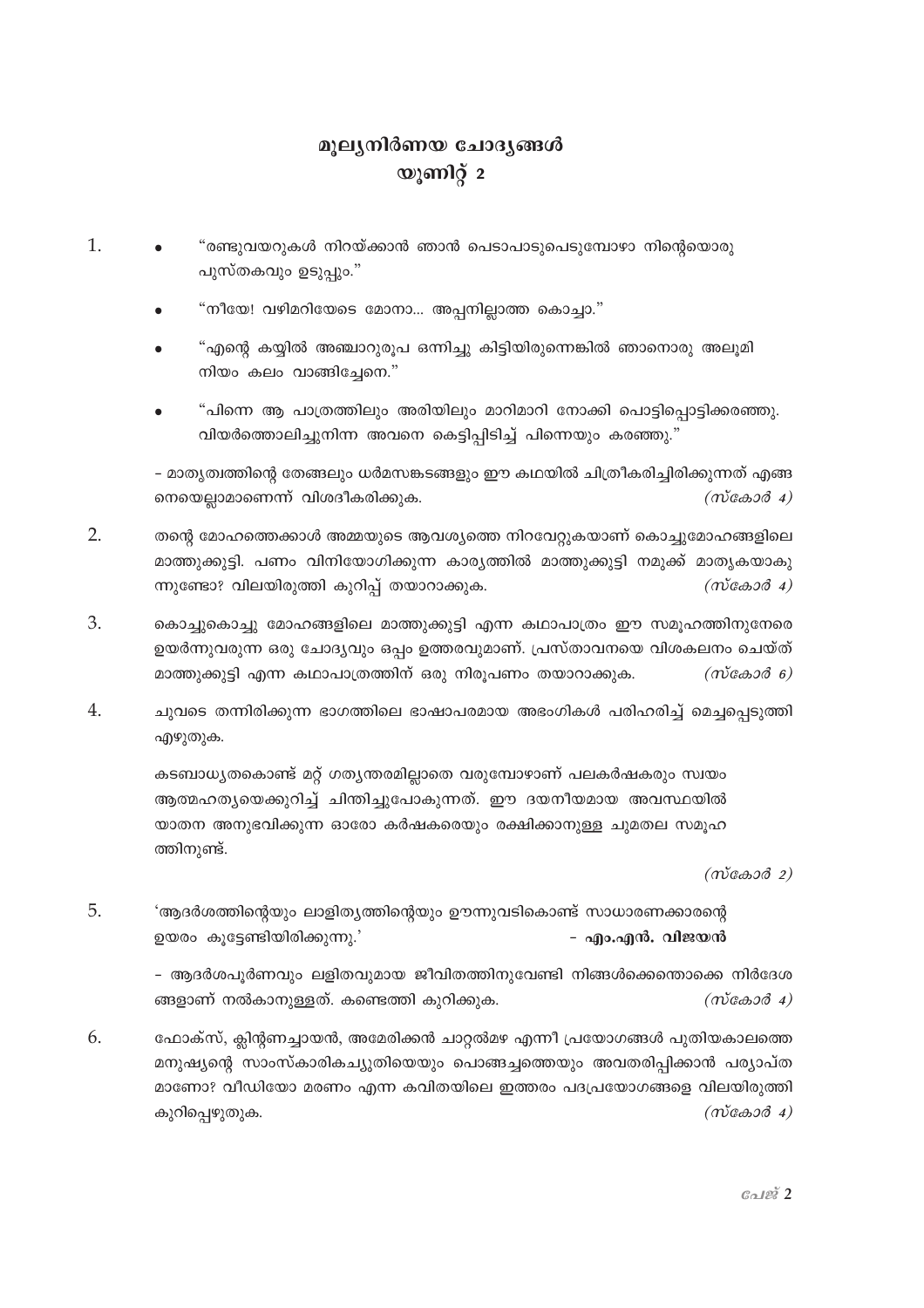## മൂല്യനിർണയ ചോദ്യങ്ങൾ യൂണിറ്റ് 2

- $\mathbf{1}$ . "രണ്ടുവയറുകൾ നിറയ്ക്കാൻ ഞാൻ പെടാപാടുപെടുമ്പോഴാ നിന്റെയൊരു പുസ്തകവും ഉടുപ്പും."
	- "നീയേ! വഴിമറിയേടെ മോനാ… അപ്പനില്ലാത്ത കൊച്ചാ."
	- "എന്റെ കയ്യിൽ അഞ്ചാറുരൂപ ഒന്നിച്ചു കിട്ടിയിരുന്നെങ്കിൽ ഞാനൊരു അലൂമി നിയം കലം വാങ്ങിചേനെ."
	- "പിന്നെ ആ പാത്രത്തിലും അരിയിലും മാറിമാറി നോക്കി പൊട്ടിപ്പൊട്ടിക്കരഞ്ഞു. വിയർത്തൊലിച്ചുനിന്ന അവനെ കെട്ടിപ്പിടിച്ച് പിന്നെയും കരഞ്ഞു."

– മാതൃത്വത്തിന്റെ തേങ്ങലും ധർമസങ്കടങ്ങളും ഈ കഥയിൽ ചിത്രീകരിച്ചിരിക്കുന്നത് എങ്ങ നെയെല്ലാമാണെന്ന് വിശദീകരിക്കുക.  $(m \cos \theta 4)$ 

- $2.$ തന്റെ മോഹത്തെക്കാൾ അമ്മയുടെ ആവശ്യത്തെ നിറവേറ്റുകയാണ് കൊച്ചുമോഹങ്ങളിലെ മാത്തുക്കുട്ടി. പണം വിനിയോഗിക്കുന്ന കാരൃത്തിൽ മാത്തുക്കുട്ടി നമുക്ക് മാതൃകയാകു ന്നുണ്ടോ? വിലയിരുത്തി കുറിപ്പ് തയാറാക്കുക.  $(m \cos \theta 4)$
- 3. കൊച്ചുകൊച്ചു മോഹങ്ങളിലെ മാത്തുക്കുട്ടി എന്ന കഥാപാത്രം ഈ സമുഹത്തിനുന്നേരെ ഉയർന്നുവരുന്ന ഒരു ചോദ്യവും ഒപ്പം ഉത്തരവുമാണ്. പ്രസ്താവനയെ വിശകലനം ചെയ്ത് മാത്തുക്കുട്ടി എന്ന കഥാപാത്രത്തിന് ഒരു നിരൂപണം തയാറാക്കുക.  $(m \cos \theta)$
- $\overline{4}$ . ചുവടെ തന്നിരിക്കുന്ന ഭാഗത്തിലെ ഭാഷാപരമായ അഭംഗികൾ പരിഹരിച്ച് മെച്ചപ്പെടുത്തി എഴുതുക.

കടബാധ്യതകൊണ്ട് മറ്റ് ഗത്യന്തരമില്ലാതെ വരുമ്പോഴാണ് പലകർഷകരും സ്വയം ആത്മഹതൃയെക്കുറിച്ച് ചിന്തിച്ചുപോകുന്നത്. ഈ ദയനീയമായ അവസ്ഥയിൽ യാതന അനുഭവിക്കുന്ന ഓരോ കർഷകരെയും രക്ഷിക്കാനുള്ള ചുമതല സമുഹ ത്തിനുണ്ട്.

 $(m \cos \theta 2)$ 

 $\overline{5}$ . 'ആദർശത്തിന്റെയും ലാളിത്യത്തിന്റെയും ഊന്നുവടികൊണ്ട് സാധാരണക്കാരന്റെ ഉയരം കൂട്ടേണ്ടിയിരിക്കുന്നു.' - എം.എൻ. വിജയൻ

> - ആദർശപൂർണവും ലളിതവുമായ ജീവിതത്തിനുവേണ്ടി നിങ്ങൾക്കെന്താക്കെ നിർദേശ ങ്ങളാണ് നൽകാനുള്ളത്. കണ്ടെത്തി കുറിക്കുക.  $(m \cos \theta 4)$

 $6<sub>1</sub>$ ഫോക്സ്, ക്ലിന്റണച്ചായൻ, അമേരിക്കൻ ചാറ്റൽമഴ എന്നീ പ്രയോഗങ്ങൾ പുതിയകാലത്തെ മനുഷ്യന്റെ സാംസ്കാരികച്യുതിയെയും പൊങ്ങച്ചത്തെയും അവതരിപ്പിക്കാൻ പര്യാപ്ത മാണോ? വീഡിയോ മരണം എന്ന കവിതയിലെ ഇത്തരം പദപ്രയോഗങ്ങളെ വിലയിരുത്തി  $(m \cos \theta 4)$ കുറിപ്പെഴുതുക.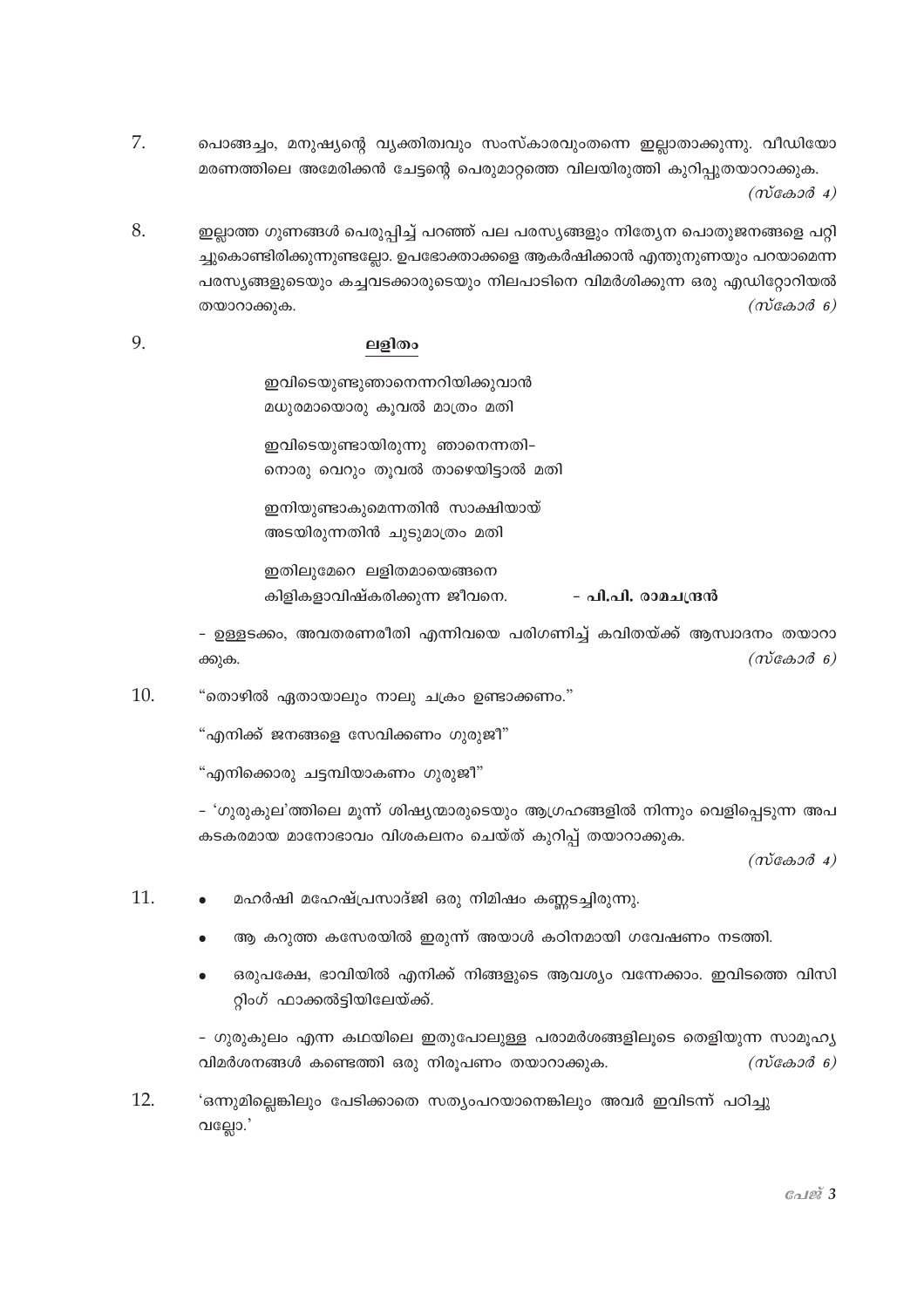- 7. പൊങ്ങച്ചം, മനുഷ്യന്റെ വ്യക്തിത്വവും സംസ്കാരവുംതന്നെ ഇല്ലാതാക്കുന്നു. വീഡിയോ മരണത്തിലെ അമേരിക്കൻ ചേട്ടന്റെ പെരുമാറ്റത്തെ വിലയിരുത്തി കുറിപ്പുതയാറാക്കുക.  $(m\cos 3\theta_4)$
- 8. ഇല്ലാത്ത ഗുണങ്ങൾ പെരുപ്പിച്ച് പറഞ്ഞ് പല പരസ്യങ്ങളും നിത്യേന പൊതുജനങ്ങളെ പറ്റി ച്ചുകൊണ്ടിരിക്കുന്നുണ്ടലോ. ഉപഭോക്താക്കളെ ആകർഷിക്കാൻ എന്തുനുണയും പറയാമെന്ന പരസ്യങ്ങളുടെയും കച്ചവടക്കാരുടെയും നിലപാടിനെ വിമർശിക്കുന്ന ഒരു എഡിറ്റോറിയൽ  $(m \cos \theta)$ തയാറാക്കുക.

## 9. ലളിതം

ഇവിടെയുണ്ടുഞാനെന്നറിയിക്കുവാൻ മധുരമായൊരു കൂവൽ മാത്രം മതി

ഇവിടെയുണ്ടായിരുന്നു ഞാനെന്നതി– നൊരു വെറും തുവൽ താഴെയിട്ടാൽ മതി

ഇനിയുണ്ടാകുമെന്നതിൻ സാക്ഷിയായ് അടയിരുന്നതിൻ ചുടുമാത്രം മതി

ഇതിലൂമേറെ ലളിതമായെങ്ങനെ കിളികളാവിഷ്കരിക്കുന്ന ജീവനെ. - പി.പി. രാമചന്ദ്രൻ

- ഉള്ളടക്കം, അവതരണരീതി എന്നിവയെ പരിഗണിച്ച് കവിതയ്ക്ക് ആസ്വാദനം തയാറാ  $(m \cos \theta)$ ക്കുക.

10. "തൊഴിൽ ഏതായാലും നാലു ചക്രം ഉണ്ടാക്കണം."

"എനിക്ക് ജനങ്ങളെ സേവിക്കണം ഗുരുജീ"

"എനിക്കൊരു ചട്ടമ്പിയാകണം ഗുരുജീ"

- 'ഗുരുകുല'ത്തിലെ മൂന്ന് ശിഷ്യന്മാരുടെയും ആഗ്രഹങ്ങളിൽ നിന്നും വെളിപ്പെടുന്ന അപ കടകരമായ മാനോഭാവം വിശകലനം ചെയ്ത് കുറിപ്പ് തയാറാക്കുക.

 $(m \alpha + \alpha)$ 

- 11. മഹർഷി മഹേഷ്പ്രസാദ്ജി ഒരു നിമിഷം കണ്ണടച്ചിരുന്നു.
	- ആ കറുത്ത കസേരയിൽ ഇരുന്ന് അയാൾ കഠിനമായി ഗവേഷണം നടത്തി.
	- ഒരുപക്ഷേ, ഭാവിയിൽ എനിക്ക് നിങ്ങളുടെ ആവശ്യം വന്നേക്കാം. ഇവിടത്തെ വിസി റ്റിംഗ് ഫാക്കൽട്ടിയിലേയ്ക്ക്.

- ഗുരുകുലം എന്ന കഥയിലെ ഇതുപോലുള്ള പരാമർശങ്ങളിലൂടെ തെളിയുന്ന സാമൂഹ്യ വിമർശനങ്ങൾ കണ്ടെത്തി ഒരു നിരൂപണം തയാറാക്കുക.  $(m \cos \theta)$ 

 $12.$ 'ഒന്നുമില്ലെങ്കിലും പേടിക്കാതെ സത്യംപറയാനെങ്കിലും അവർ ഇവിടന്ന് പഠിച്ചു വല്ലോ. $^{\prime}$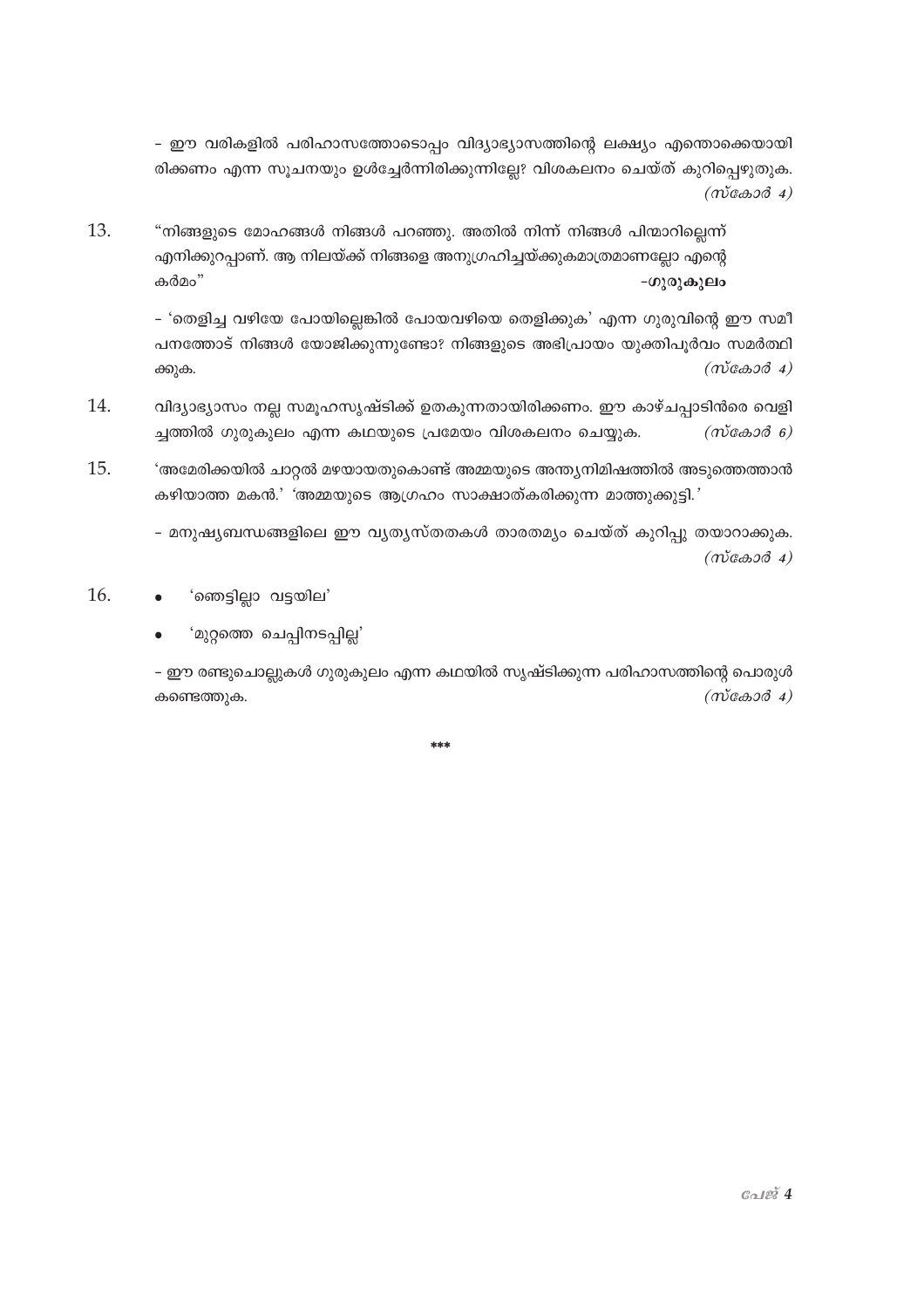- ഈ വരികളിൽ പരിഹാസത്തോടൊപ്പം വിദ്യാഭ്യാസത്തിന്റെ ലക്ഷ്യം എന്തൊക്കെയായി രിക്കണം എന്ന സൂചനയും ഉൾച്ചേർന്നിരിക്കുന്നില്ലേ? വിശകലനം ചെയ്ത് കുറിപ്പെഴുതുക.  $(m \cos \theta 4)$ 

13. "നിങ്ങളുടെ മോഹങ്ങൾ നിങ്ങൾ പറഞ്ഞു. അതിൽ നിന്ന് നിങ്ങൾ പിന്മാറില്ലെന്ന് എനിക്കുറപ്പാണ്. ആ നിലയ്ക്ക് നിങ്ങളെ അനുഗ്രഹിച്ചയ്ക്കുകമാത്രമാണല്ലോ എന്റെ കർമം" -ഗുരുകുലം

> - 'തെളിച്ച വഴിയേ പോയില്ലെങ്കിൽ പോയവഴിയെ തെളിക്കുക' എന്ന ഗുരുവിന്റെ ഈ സമീ പനത്തോട് നിങ്ങൾ യോജിക്കുന്നുണ്ടോ? നിങ്ങളുടെ അഭിപ്രായം യുക്തിപൂർവം സമർത്ഥി  $(m\tilde{\cos}a\tilde{\cos}a)$ ക്കുക.

- വിദ്യാഭ്യാസം നല്ല സമൂഹസൃഷ്ടിക്ക് ഉതകുന്നതായിരിക്കണം. ഈ കാഴ്ചപ്പാടിൻരെ വെളി 14. ച്ചത്തിൽ ഗുരുകുലം എന്ന കഥയുടെ പ്രമേയം വിശകലനം ചെയ്യുക.  $(m\cos 3\theta - \theta)$
- 15. 'അമേരിക്കയിൽ ചാറ്റൽ മഴയായതുകൊണ്ട് അമ്മയുടെ അന്ത്യനിമിഷത്തിൽ അടുത്തെത്താൻ കഴിയാത്ത മകൻ.' 'അമ്മയുടെ ആഗ്രഹം സാക്ഷാത്കരിക്കുന്ന മാത്തുക്കുട്ടി.'

- മനുഷ്യബന്ധങ്ങളിലെ ഈ വൃത്യസ്തതകൾ താരതമ്യം ചെയ്ത് കുറിപ്പു തയാറാക്കുക.  $(m\tilde{\cos}a\tilde{\cos}a)$ 

- 16. 'ഞെട്ടില്ലാ വട്ടയില'
	- 'മുറ്റത്തെ ചെപ്പിനടപ്പില്ല'

– ഈ രണ്ടുചൊല്ലുകൾ ഗുരുകുലം എന്ന കഥയിൽ സൃഷ്ടിക്കുന്ന പരിഹാസത്തിന്റെ പൊരുൾ  $(m \cos \theta 4)$ കണ്ടെത്തുക.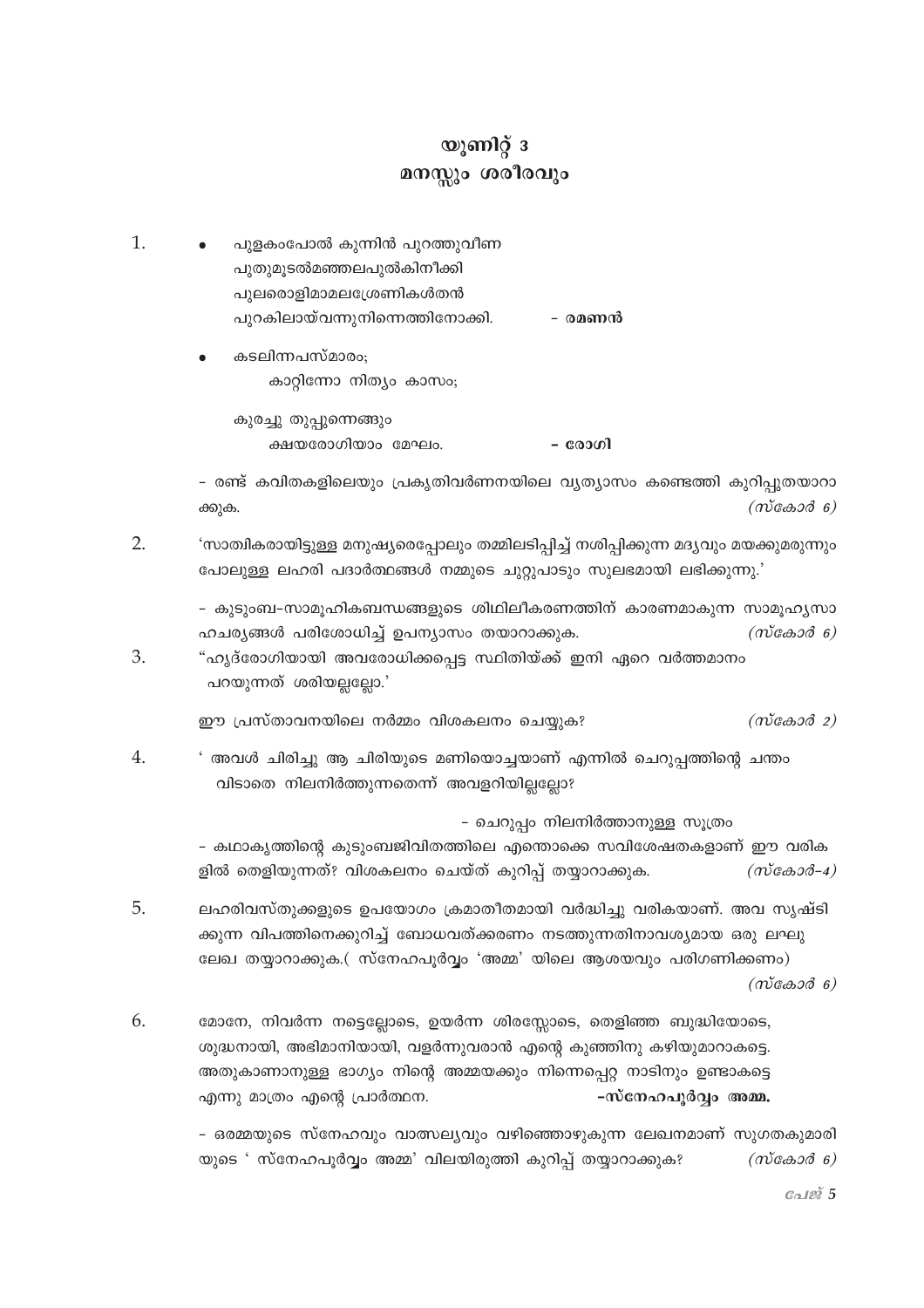## യൂണിറ്റ് 3 മനസ്സും ശരീരവും

- 1. പുളകംപോൽ കുന്നിൻ പുറത്തുവീണ പുതുമുടൽമഞ്ഞലപുൽകിനീക്കി പുലരൊളിമാമലശ്രേണികൾതൻ പുറകിലായ്വന്നുനിന്നെത്തിനോക്കി. - രമണൻ
	- കടലിന്നപസ്മാരം; കാറ്റിന്നോ നിത്യം കാസം; കുരച്ചു തുപ്പുന്നെങ്ങും

- രോഗി ക്ഷയരോഗിയാം മേഘം.

- രണ്ട് കവിതകളിലെയും പ്രകൃതിവർണനയിലെ വൃത്യാസം കണ്ടെത്തി കുറിപ്പുതയാറാ ക്കുക.  $(m \cos \theta)$ 

- $\overline{2}$ . 'സാത്വികരായിട്ടുള്ള മനുഷ്യരെപ്പോലും തമ്മിലടിപ്പിച്ച് നശിപ്പിക്കുന്ന മദ്യവും മയക്കുമരുന്നും പോലുള്ള ലഹരി പദാർത്ഥങ്ങൾ നമ്മുടെ ചുറ്റുപാടും സുലഭമായി ലഭിക്കുന്നു.'
	- കുടുംബ-സാമുഹികബന്ധങ്ങളുടെ ശിഥിലീകരണത്തിന് കാരണമാകുന്ന സാമുഹൃസാ ഹചര്യങ്ങൾ പരിശോധിച്ച് ഉപന്യാസം തയാറാക്കുക.  $(m \cos \theta)$
- 3. "ഹ്യദ്രോഗിയായി അവരോധിക്കപ്പെട്ട സ്ഥിതിയ്ക്ക് ഇനി ഏറെ വർത്തമാനം പറയുന്നത് ശരിയല്ലല്ലോ.'

ഈ പ്രസ്താവനയിലെ നർമ്മം വിശകലനം ചെയ്യുക?  $(m \cos \theta 2)$ 

 $4.$ ' അവൾ ചിരിച്ചു ആ ചിരിയുടെ മണിയൊച്ചയാണ് എന്നിൽ ചെറുപ്പത്തിന്റെ ചന്തം വിടാതെ നിലനിർത്തുന്നതെന്ന് അവളറിയില്ലല്ലോ?

- ചെറുപ്പം നിലനിർത്താനുള്ള സൂത്രം

- കഥാകൃത്തിന്റെ കുടുംബജിവിതത്തിലെ എന്തൊക്കെ സവിശേഷതകളാണ് ഈ വരിക ളിൽ തെളിയുന്നത്? വിശകലനം ചെയ്ത് കുറിപ്പ് തയ്യാറാക്കുക.  $(m \& \& \& \& \& -4)$ 

- 5. ലഹരിവസ്തുക്കളുടെ ഉപയോഗം ക്രമാതീതമായി വർദ്ധിച്ചു വരികയാണ്. അവ സൃഷ്ടി ക്കുന്ന വിപത്തിനെക്കുറിച്ച് ബോധവത്ക്കരണം നടത്തുന്നതിനാവശ്യമായ ഒരു ലഘു ലേഖ തയ്യാറാക്കുക.( സ്നേഹപൂർവ്വം 'അമ്മ' യിലെ ആശയവും പരിഗണിക്കണം)  $(m \cos \theta)$
- 6. മോനേ, നിവർന്ന നട്ടെല്ലോടെ, ഉയർന്ന ശിരസ്സോടെ, തെളിഞ്ഞ ബുദ്ധിയോടെ, ശുദ്ധനായി, അഭിമാനിയായി, വളർന്നുവരാൻ എന്റെ കുഞ്ഞിനു കഴിയുമാറാകട്ടെ. അതുകാണാനുള്ള ഭാഗ്യം നിന്റെ അമ്മയക്കും നിന്നെപ്പെറ്റ നാടിനും ഉണ്ടാകട്ടെ എന്നു മാത്രം എന്റെ പ്രാർത്ഥന. -സ്നേഹപുർവ്വം അമ്മ.

– ഒരമ്മയുടെ സ്നേഹവും വാത്സല്യവും വഴിഞ്ഞൊഴുകുന്ന ലേഖനമാണ് സുഗതകുമാരി യുടെ ' സ്നേഹപൂർവ്വം അമ്മ' വിലയിരുത്തി കുറിപ്പ് തയ്യാറാക്കുക?  $(m \cos \theta)$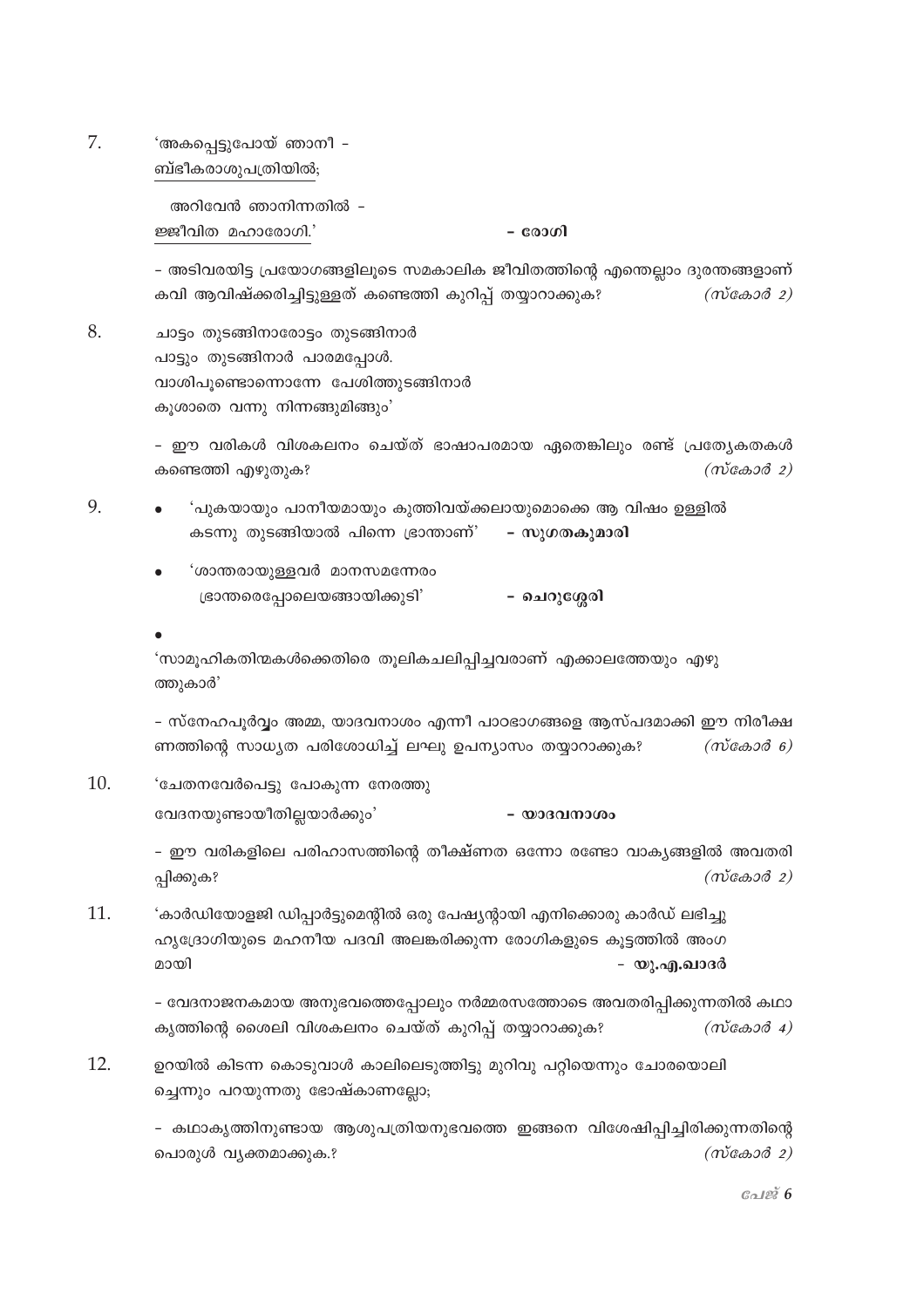7. 'അകപ്പെട്ടുപോയ് ഞാനീ -ബ്ഭീകരാശുപത്രിയിൽ;

> അറിവേൻ ഞാനിന്നതിൽ -ജ്ജീവിത മഹാരോഗി.'

- രോഗി

- അടിവരയിട്ട പ്രയോഗങ്ങളിലൂടെ സമകാലിക ജീവിതത്തിന്റെ എന്തെല്ലാം ദുരന്തങ്ങളാണ് കവി ആവിഷ്ക്കരിച്ചിട്ടുള്ളത് കണ്ടെത്തി കുറിപ്പ് തയ്യാറാക്കുക?  $(m \cos \theta 2)$ 

8. ചാട്ടം തുടങ്ങിനാരോട്ടം തുടങ്ങിനാർ പാട്ടും തുടങ്ങിനാർ പാരമപ്പോൾ. വാശിപൂണ്ടൊന്നൊന്നേ പേശിത്തുടങ്ങിനാർ കുശാതെ വന്നു നിന്നങ്ങുമിങ്ങും'

> - ഈ വരികൾ വിശകലനം ചെയ്ത് ഭാഷാപരമായ ഏതെങ്കിലും രണ്ട് പ്രത്യേകതകൾ  $(m\tilde{\cos}\omega d)$ കണ്ടെത്തി എഴുതുക?

9. 'പുകയായും പാനീയമായും കുത്തിവയ്ക്കലായുമൊക്കെ ആ വിഷം ഉള്ളിൽ കടന്നു തുടങ്ങിയാൽ പിന്നെ ഭ്രാന്താണ്' - സുഗതകുമാരി

> 'ശാന്തരായുള്ളവർ മാനസമന്നേരം ഭ്രാന്തരെപ്പോലെയങ്ങായിക്കുടി' – ചെറുശ്ശേരി

'സാമൂഹികതിന്മകൾക്കെതിരെ തുലികചലിപ്പിച്ചവരാണ് എക്കാലത്തേയും എഴു ത്തുകാർ'

- സ്നേഹപൂർവ്വം അമ്മ, യാദവനാശം എന്നീ പാഠഭാഗങ്ങളെ ആസ്പദമാക്കി ഈ നിരീക്ഷ ണത്തിന്റെ സാധ്യത പരിശോധിച്ച് ലഘു ഉപന്യാസം തയ്യാറാക്കുക?  $(m \cos \theta)$ 

10. 'ചേതനവേർപെട്ടു പോകുന്ന നേരത്തു വേദനയുണ്ടായീതില്ലയാർക്കും' - യാദവനാശം

> - ഈ വരികളിലെ പരിഹാസത്തിന്റെ തീക്ഷ്ണത ഒന്നോ രണ്ടോ വാകൃങ്ങളിൽ അവതരി  $(m\tilde{\cos}a\tilde{\cos}a)$ പ്പിക്കുക?

11. 'കാർഡിയോളജി ഡിപ്പാർട്ടുമെന്റിൽ ഒരു പേഷ്യന്റായി എനിക്കൊരു കാർഡ് ലഭിച്ചു ഹൃദ്രോഗിയുടെ മഹനീയ പദവി അലങ്കരിക്കുന്ന രോഗികളുടെ കൂട്ടത്തിൽ അംഗ മായി - യു.എ.ഖാദർ

> - വേദനാജനകമായ അനുഭവത്തെപ്പോലും നർമ്മരസത്തോടെ അവതരിപ്പിക്കുന്നതിൽ കഥാ കൃത്തിന്റെ ശൈലി വിശകലനം ചെയ്ത് കുറിപ്പ് തയ്യാറാക്കുക?  $(m \cos \theta 4)$

 $12<sup>12</sup>$ ഉറയിൽ കിടന്ന കൊടുവാൾ കാലിലെടുത്തിട്ടു മുറിവു പറ്റിയെന്നും ചോരയൊലി ച്ചെന്നും പറയുന്നതു ഭോഷ്കാണല്ലോ;

> - കഥാകൃത്തിനുണ്ടായ ആശുപത്രിയനുഭവത്തെ ഇങ്ങനെ വിശേഷിപ്പിച്ചിരിക്കുന്നതിന്റെ  $(m \cos \theta 2)$ പൊരുൾ വൃക്തമാക്കുക.?

> > பேஜ் $6$